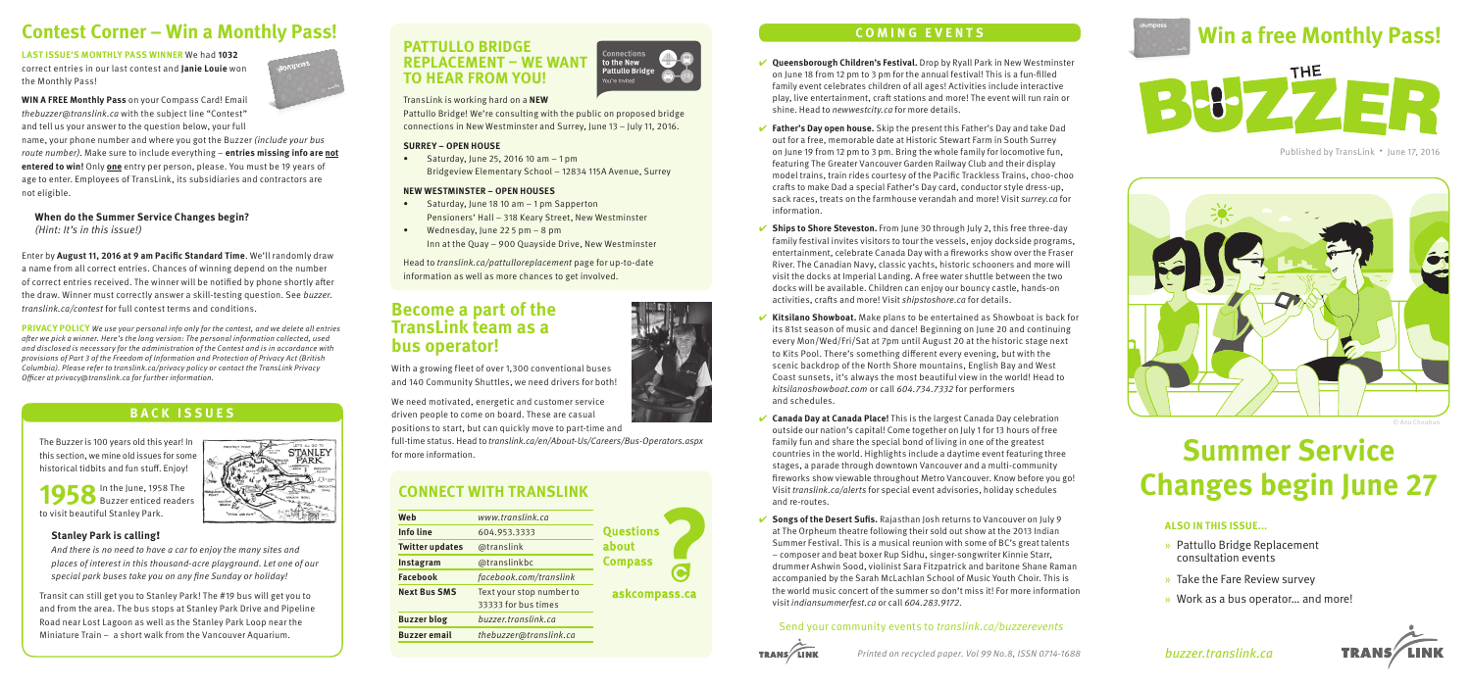# **Contest Corner – Win a Monthly Pass!**

**LAST ISSUE'S MONTHLY PASS WINNER** We had **1032** correct entries in our last contest and **Janie Louie** won the Monthly Pass!

**WIN A FREE Monthly Pass** on your Compass Card! Email thebuzzer@translink.ca with the subject line "Contest" and tell us your answer to the question below, your full name, your phone number and where you got the Buzzer (include your bus route number). Make sure to include everything – **entries missing info are not entered to win!** Only **one** entry per person, please. You must be 19 years of age to enter. Employees of TransLink, its subsidiaries and contractors are not eligible.

**When do the Summer Service Changes begin?**  (Hint: It's in this issue!)

Enter by **August 11, 2016 at 9 am Pacific Standard Time**. We'll randomly draw a name from all correct entries. Chances of winning depend on the number of correct entries received. The winner will be notified by phone shortly after the draw. Winner must correctly answer a skill-testing question. See buzzer. translink.ca/contest for full contest terms and conditions.

**PRIVACY POLICY** We use your personal info only for the contest, and we delete all entries after we pick a winner. Here's the long version: The personal information collected, used and disclosed is necessary for the administration of the Contest and is in accordance with provisions of Part 3 of the Freedom of Information and Protection of Privacy Act (British Columbia). Please refer to translink.ca/privacy policy or contact the TransLink Privacy Officer at privacy@translink.ca for further information.



The Buzzer is 100 years old this year! In this section, we mine old issues for some historical tidbits and fun stuff. Enjoy!

1958 In the June, 1958 The Buzzer enticed readers to visit beautiful Stanley Park.

#### **Stanley Park is calling**!

And there is no need to have a car to enjoy the many sites and places of interest in this thousand-acre playground. Let one of our special park buses take you on any fine Sunday or holiday!

Transit can still get you to Stanley Park! The #19 bus will get you to and from the area. The bus stops at Stanley Park Drive and Pipeline Road near Lost Lagoon as well as the Stanley Park Loop near the Miniature Train – a short walk from the Vancouver Aquarium.



## TransLink is working hard on a **NEW**

Pattullo Bridge! We're consulting with the public on proposed bridge connections in New Westminster and Surrey, June 13 – July 11, 2016.

#### **SURREY – OPEN HOUSE**

• Saturday, June 25, 2016 10 am  $-1$  pm Bridgeview Elementary School – 12834 115A Avenue, Surrey

#### **NEW WESTMINSTER – OPEN HOUSES**

- Saturday, June 18 10 am 1 pm Sapperton Pensioners' Hall – 318 Keary Street, New Westminster
- Wednesday, June 22 5 pm 8 pm Inn at the Quay – 900 Quayside Drive, New Westminster

Head to translink.ca/pattulloreplacement page for up-to-date information as well as more chances to get involved.

## **Become a part of the TransLink team as a bus operator!**

With a growing fleet of over 1,300 conventional buses and 140 Community Shuttles, we need drivers for both!

We need motivated, energetic and customer service driven people to come on board. These are casual

positions to start, but can quickly move to part-time and full-time status. Head to translink.ca/en/About-Us/Careers/Bus-Operators.aspx for more information.

## **CONNECT WITH TRANSLINK**

| Web                    | www.translink.ca                                |                  |
|------------------------|-------------------------------------------------|------------------|
| <b>Info line</b>       | 604.953.3333                                    | <b>Questions</b> |
| <b>Twitter updates</b> | @translink                                      | about            |
| Instagram              | @translinkbc                                    | <b>Compass</b>   |
| Facebook               | facebook.com/translink                          |                  |
| <b>Next Bus SMS</b>    | Text your stop number to<br>33333 for bus times | askcompass.ca    |
| <b>Buzzer blog</b>     | buzzer.translink.ca                             |                  |
| <b>Buzzer</b> email    | thebuzzer@translink.ca                          |                  |
|                        |                                                 |                  |

- ✔ **Queensborough Children's Festival.** Drop by Ryall Park in New Westminster on June 18 from 12 pm to 3 pm for the annual festival! This is a fun-filled family event celebrates children of all ages! Activities include interactive play, live entertainment, craft stations and more! The event will run rain or shine. Head to newwestcity.ca for more details.
- ✔ **Father's Day open house.** Skip the present this Father's Day and take Dad out for a free, memorable date at Historic Stewart Farm in South Surrey on June 19 from 12 pm to 3 pm. Bring the whole family for locomotive fun, featuring The Greater Vancouver Garden Railway Club and their display model trains, train rides courtesy of the Pacific Trackless Trains, choo-choo crafts to make Dad a special Father's Day card, conductor style dress-up, sack races, treats on the farmhouse verandah and more! Visit surrey.ca for information.
- ✔ **Ships to Shore Steveston.** From June 30 through July 2, this free three-day family festival invites visitors to tour the vessels, enjoy dockside programs, entertainment, celebrate Canada Day with a fireworks show over the Fraser River. The Canadian Navy, classic yachts, historic schooners and more will visit the docks at Imperial Landing. A free water shuttle between the two docks will be available. Children can enjoy our bouncy castle, hands-on activities, crafts and more! Visit shipstoshore.ca for details.
- ✔ **Kitsilano Showboat.** Make plans to be entertained as Showboat is back for its 81st season of music and dance! Beginning on June 20 and continuing every Mon/Wed/Fri/Sat at 7pm until August 20 at the historic stage next to Kits Pool. There's something different every evening, but with the scenic backdrop of the North Shore mountains, English Bay and West Coast sunsets, it's always the most beautiful view in the world! Head to kitsilanoshowboat.com or call 604.734.7332 for performers and schedules.
- ✔ **Canada Day at Canada Place!** This is the largest Canada Day celebration outside our nation's capital! Come together on July 1 for 13 hours of free family fun and share the special bond of living in one of the greatest countries in the world. Highlights include a daytime event featuring three stages, a parade through downtown Vancouver and a multi-community fireworks show viewable throughout Metro Vancouver. Know before you go! Visit translink.ca/alerts for special event advisories, holiday schedules and re-routes.
- ✔ **Songs of the Desert Sufis.** Rajasthan Josh returns to Vancouver on July 9 at The Orpheum theatre following their sold out show at the 2013 Indian Summer Festival. This is a musical reunion with some of BC's great talents – composer and beat boxer Rup Sidhu, singer-songwriter Kinnie Starr, drummer Ashwin Sood, violinist Sara Fitzpatrick and baritone Shane Raman accompanied by the Sarah McLachlan School of Music Youth Choir. This is the world music concert of the summer so don't miss it! For more information visit indiansummerfest.ca or call 604.283.9172.

## Send your community events to translink.ca/buzzerevents







Published by TransLink • June 17, 2016



# **Summer Service Changes begin June 27**

## **ALSO IN THIS ISSUE...**

- » Pattullo Bridge Replacement consultation events
- » Take the Fare Review survey
- » Work as a bus operator… and more!